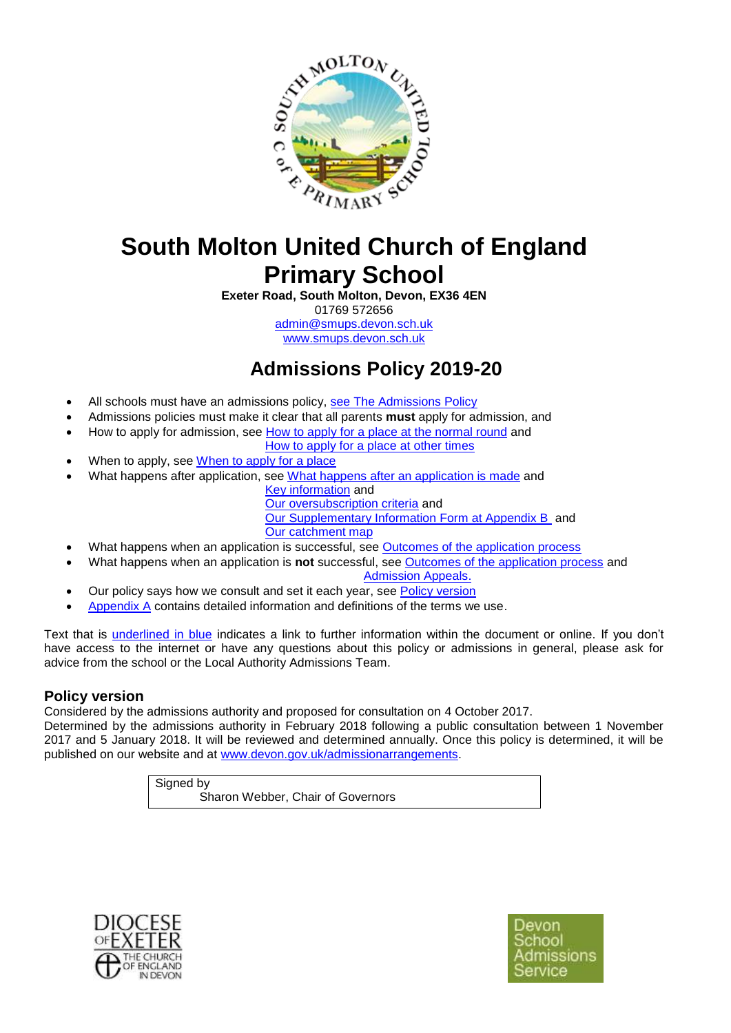

# **South Molton United Church of England Primary School**

**Exeter Road, South Molton, Devon, EX36 4EN** 01769 572656 [admin@smups.devon.sch.uk](mailto:admin@smups.devon.sch.uk) [www.smups.devon.sch.uk](http://www.smups.devon.sch.uk/)

**Admissions Policy 2019-20** 

- All schools must have an admissions policy, [see The Admissions Policy](#page-2-0)
- Admissions policies must make it clear that all parents **must** apply for admission, and
- How to apply for admission, see [How to apply for a place at the normal round](#page-3-0) and
	- [How to apply for a place at other times](#page-3-1)
- When to apply, see [When to apply for a place](#page-3-1)
- What happens after application, see [What happens after an application is made](#page-3-2) and
	- [Key information](#page-1-0) and [Our oversubscription criteria](#page-1-1) and [Our Supplementary Information Form at Appendix B](#page-15-0) and [Our catchment map](#page-1-2)
- What happens when an application is successful, see [Outcomes of the application process](#page-3-3)
- What happens when an application is **not** successful, see [Outcomes of the application process](#page-3-3) and [Admission Appeals.](#page-5-0)
- Our policy says how we consult and set it each year, see [Policy version](#page-0-0)
- [Appendix A](#page-5-1) contains detailed information and definitions of the terms we use.

Text that is underlined in blue indicates a link to further information within the document or online. If you don't have access to the internet or have any questions about this policy or admissions in general, please ask for advice from the school or the Local Authority Admissions Team.

# <span id="page-0-0"></span>**Policy version**

Considered by the admissions authority and proposed for consultation on 4 October 2017.

Determined by the admissions authority in February 2018 following a public consultation between 1 November 2017 and 5 January 2018. It will be reviewed and determined annually. Once this policy is determined, it will be published on our website and at [www.devon.gov.uk/admissionarrangements.](http://www.devon.gov.uk/admissionarrangements)

Signed by

Sharon Webber, Chair of Governors



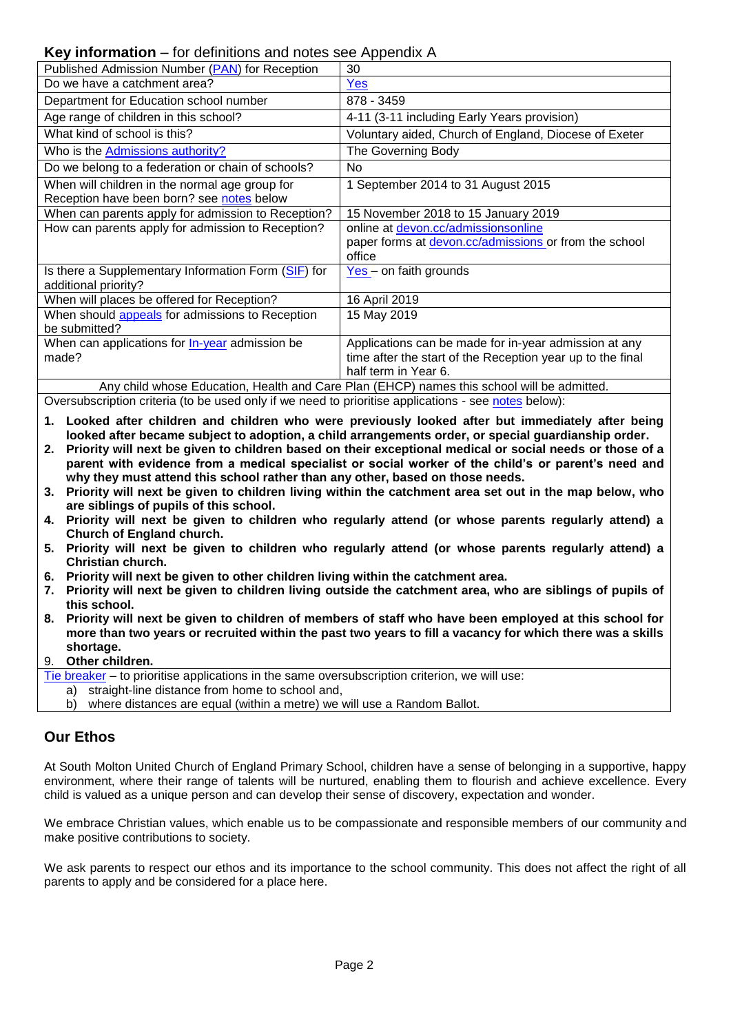# <span id="page-1-0"></span>**Key information** – for definitions and notes see Appendix A

|                                                                                            | . .                                                        |  |
|--------------------------------------------------------------------------------------------|------------------------------------------------------------|--|
| Published Admission Number (PAN) for Reception                                             | 30                                                         |  |
| Do we have a catchment area?                                                               | Yes                                                        |  |
| Department for Education school number                                                     | 878 - 3459                                                 |  |
| Age range of children in this school?                                                      | 4-11 (3-11 including Early Years provision)                |  |
| What kind of school is this?                                                               | Voluntary aided, Church of England, Diocese of Exeter      |  |
| Who is the Admissions authority?                                                           | The Governing Body                                         |  |
| Do we belong to a federation or chain of schools?                                          | N <sub>o</sub>                                             |  |
| When will children in the normal age group for                                             | 1 September 2014 to 31 August 2015                         |  |
| Reception have been born? see notes below                                                  |                                                            |  |
| When can parents apply for admission to Reception?                                         | 15 November 2018 to 15 January 2019                        |  |
| How can parents apply for admission to Reception?                                          | online at devon.cc/admissionsonline                        |  |
|                                                                                            | paper forms at devon.cc/admissions or from the school      |  |
|                                                                                            | office                                                     |  |
| Is there a Supplementary Information Form (SIF) for                                        | $Yes - on faith grounds$                                   |  |
| additional priority?                                                                       |                                                            |  |
| When will places be offered for Reception?                                                 | 16 April 2019                                              |  |
| When should appeals for admissions to Reception                                            | 15 May 2019                                                |  |
| be submitted?                                                                              |                                                            |  |
| When can applications for <b>In-year</b> admission be                                      | Applications can be made for in-year admission at any      |  |
| made?                                                                                      | time after the start of the Reception year up to the final |  |
|                                                                                            | half term in Year 6.                                       |  |
| Any child whose Education, Health and Care Plan (EHCP) names this school will be admitted. |                                                            |  |

<span id="page-1-1"></span>Oversubscription criteria (to be used only if we need to prioritise applications - see [notes](#page-12-0) below):

- **1. Looked after children and children who were previously looked after but immediately after being looked after became subject to adoption, a child arrangements order, or special guardianship order.**
- **2. Priority will next be given to children based on their exceptional medical or social needs or those of a parent with evidence from a medical specialist or social worker of the child's or parent's need and why they must attend this school rather than any other, based on those needs.**
- **3. Priority will next be given to children living within the catchment area set out in the map below, who are siblings of pupils of this school.**
- **4. Priority will next be given to children who regularly attend (or whose parents regularly attend) a Church of England church.**
- **5. Priority will next be given to children who regularly attend (or whose parents regularly attend) a Christian church.**
- **6. Priority will next be given to other children living within the catchment area.**
- **7. Priority will next be given to children living outside the catchment area, who are siblings of pupils of this school.**
- **8. Priority will next be given to children of members of staff who have been employed at this school for more than two years or recruited within the past two years to fill a vacancy for which there was a skills shortage.**

#### 9. **Other children.**

[Tie breaker](#page-14-1) – to prioritise applications in the same oversubscription criterion, we will use:

- a) straight-line distance from home to school and,
- b) where distances are equal (within a metre) we will use a Random Ballot.

### **Our Ethos**

At South Molton United Church of England Primary School, children have a sense of belonging in a supportive, happy environment, where their range of talents will be nurtured, enabling them to flourish and achieve excellence. Every child is valued as a unique person and can develop their sense of discovery, expectation and wonder.

We embrace Christian values, which enable us to be compassionate and responsible members of our community and make positive contributions to society.

<span id="page-1-2"></span>We ask parents to respect our ethos and its importance to the school community. This does not affect the right of all parents to apply and be considered for a place here.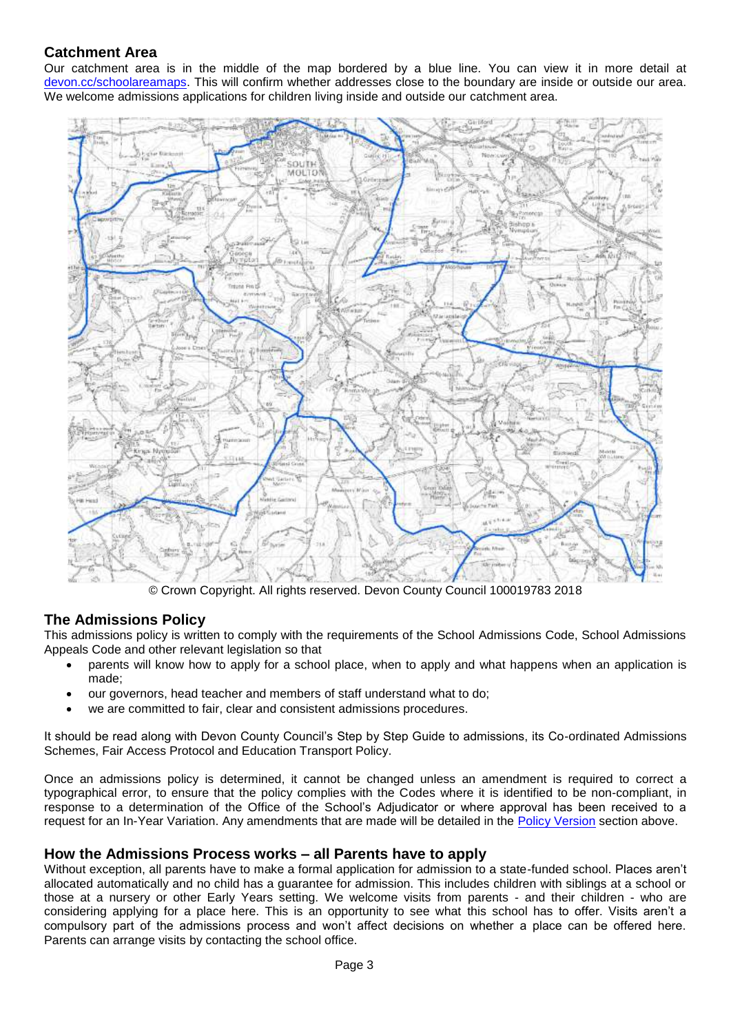# **Catchment Area**

Our catchment area is in the middle of the map bordered by a blue line. You can view it in more detail at [devon.cc/schoolareamaps.](http://devon.cc/schoolareamaps) This will confirm whether addresses close to the boundary are inside or outside our area. We welcome admissions applications for children living inside and outside our catchment area.



<span id="page-2-0"></span>© Crown Copyright. All rights reserved. Devon County Council 100019783 2018

# **The Admissions Policy**

This admissions policy is written to comply with the requirements of the School Admissions Code, School Admissions Appeals Code and other relevant legislation so that

- parents will know how to apply for a school place, when to apply and what happens when an application is made;
- our governors, head teacher and members of staff understand what to do;
- we are committed to fair, clear and consistent admissions procedures.

It should be read along with Devon County Council's Step by Step Guide to admissions, its Co-ordinated Admissions Schemes, Fair Access Protocol and Education Transport Policy.

Once an admissions policy is determined, it cannot be changed unless an amendment is required to correct a typographical error, to ensure that the policy complies with the Codes where it is identified to be non-compliant, in response to a determination of the Office of the School's Adjudicator or where approval has been received to a request for an In-Year Variation. Any amendments that are made will be detailed in the [Policy Version](#page-0-0) section above.

# **How the Admissions Process works – all Parents have to apply**

Without exception, all parents have to make a formal application for admission to a state-funded school. Places aren't allocated automatically and no child has a guarantee for admission. This includes children with siblings at a school or those at a nursery or other Early Years setting. We welcome visits from parents - and their children - who are considering applying for a place here. This is an opportunity to see what this school has to offer. Visits aren't a compulsory part of the admissions process and won't affect decisions on whether a place can be offered here. Parents can arrange visits by contacting the school office.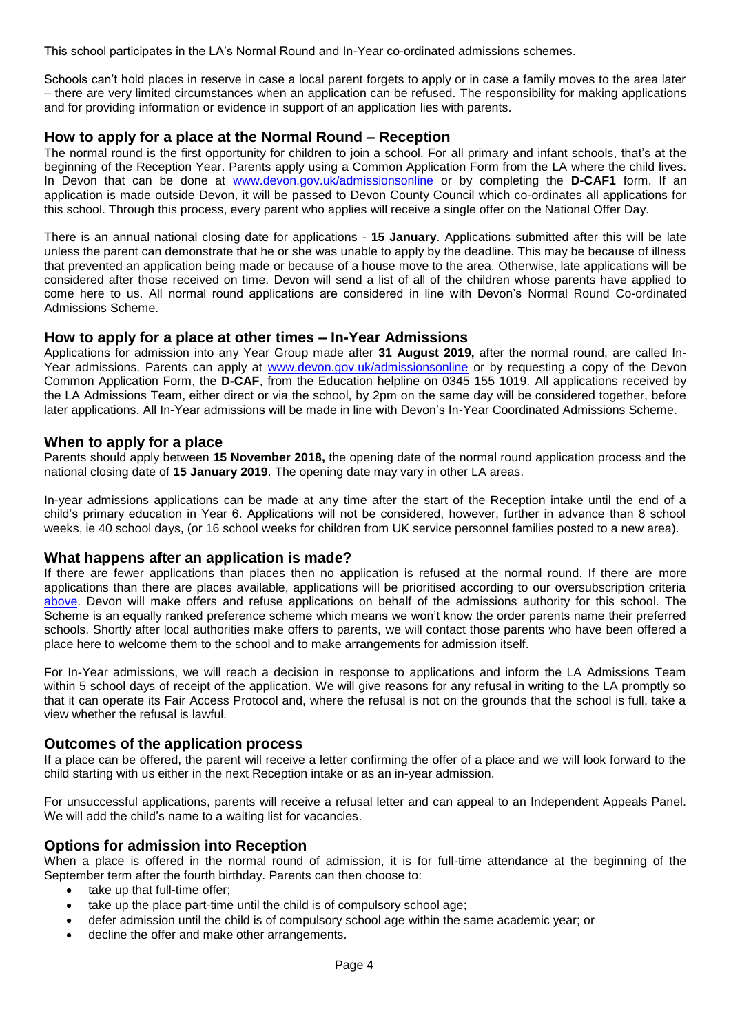This school participates in the LA's Normal Round and In-Year co-ordinated admissions schemes.

Schools can't hold places in reserve in case a local parent forgets to apply or in case a family moves to the area later – there are very limited circumstances when an application can be refused. The responsibility for making applications and for providing information or evidence in support of an application lies with parents.

### <span id="page-3-0"></span>**How to apply for a place at the Normal Round – Reception**

The normal round is the first opportunity for children to join a school. For all primary and infant schools, that's at the beginning of the Reception Year. Parents apply using a Common Application Form from the LA where the child lives. In Devon that can be done at [www.devon.gov.uk/admissionsonline](http://www.devon.gov.uk/admissionsonline) or by completing the **D-CAF1** form. If an application is made outside Devon, it will be passed to Devon County Council which co-ordinates all applications for this school. Through this process, every parent who applies will receive a single offer on the National Offer Day.

There is an annual national closing date for applications - **15 January**. Applications submitted after this will be late unless the parent can demonstrate that he or she was unable to apply by the deadline. This may be because of illness that prevented an application being made or because of a house move to the area. Otherwise, late applications will be considered after those received on time. Devon will send a list of all of the children whose parents have applied to come here to us. All normal round applications are considered in line with Devon's Normal Round Co-ordinated Admissions Scheme.

#### <span id="page-3-1"></span>**How to apply for a place at other times – In-Year Admissions**

Applications for admission into any Year Group made after **31 August 2019,** after the normal round, are called InYear admissions. Parents can apply at [www.devon.gov.uk/admissionsonline](http://www.devon.gov.uk/admissionsonline) or by requesting a copy of the Devon Common Application Form, the **D-CAF**, from the Education helpline on 0345 155 1019. All applications received by the LA Admissions Team, either direct or via the school, by 2pm on the same day will be considered together, before later applications. All In-Year admissions will be made in line with Devon's In-Year Coordinated Admissions Scheme.

#### **When to apply for a place**

Parents should apply between **15 November 2018,** the opening date of the normal round application process and the national closing date of **15 January 2019**. The opening date may vary in other LA areas.

In-year admissions applications can be made at any time after the start of the Reception intake until the end of a child's primary education in Year 6. Applications will not be considered, however, further in advance than 8 school weeks, ie 40 school days, (or 16 school weeks for children from UK service personnel families posted to a new area).

#### <span id="page-3-2"></span>**What happens after an application is made?**

If there are fewer applications than places then no application is refused at the normal round. If there are more applications than there are places available, applications will be prioritised according to our oversubscription criteria [above.](file://///Ds.devon.gov.uk/docs/Exeter,%20County%20Hall/EALData/Shared/Admissions%20files%20for%20website/2019%20files/2019%20School%20determined/2019%20Farway%20admissions%20policy.docx%23criteria) Devon will make offers and refuse applications on behalf of the admissions authority for this school. The Scheme is an equally ranked preference scheme which means we won't know the order parents name their preferred schools. Shortly after local authorities make offers to parents, we will contact those parents who have been offered a place here to welcome them to the school and to make arrangements for admission itself.

For In-Year admissions, we will reach a decision in response to applications and inform the LA Admissions Team within 5 school days of receipt of the application. We will give reasons for any refusal in writing to the LA promptly so that it can operate its Fair Access Protocol and, where the refusal is not on the grounds that the school is full, take a view whether the refusal is lawful.

#### <span id="page-3-3"></span>**Outcomes of the application process**

If a place can be offered, the parent will receive a letter confirming the offer of a place and we will look forward to the child starting with us either in the next Reception intake or as an in-year admission.

For unsuccessful applications, parents will receive a refusal letter and can appeal to an Independent Appeals Panel. We will add the child's name to a waiting list for vacancies.

#### **Options for admission into Reception**

When a place is offered in the normal round of admission, it is for full-time attendance at the beginning of the September term after the fourth birthday. Parents can then choose to:

- take up that full-time offer;
- take up the place part-time until the child is of compulsory school age;
- defer admission until the child is of compulsory school age within the same academic year; or
- decline the offer and make other arrangements.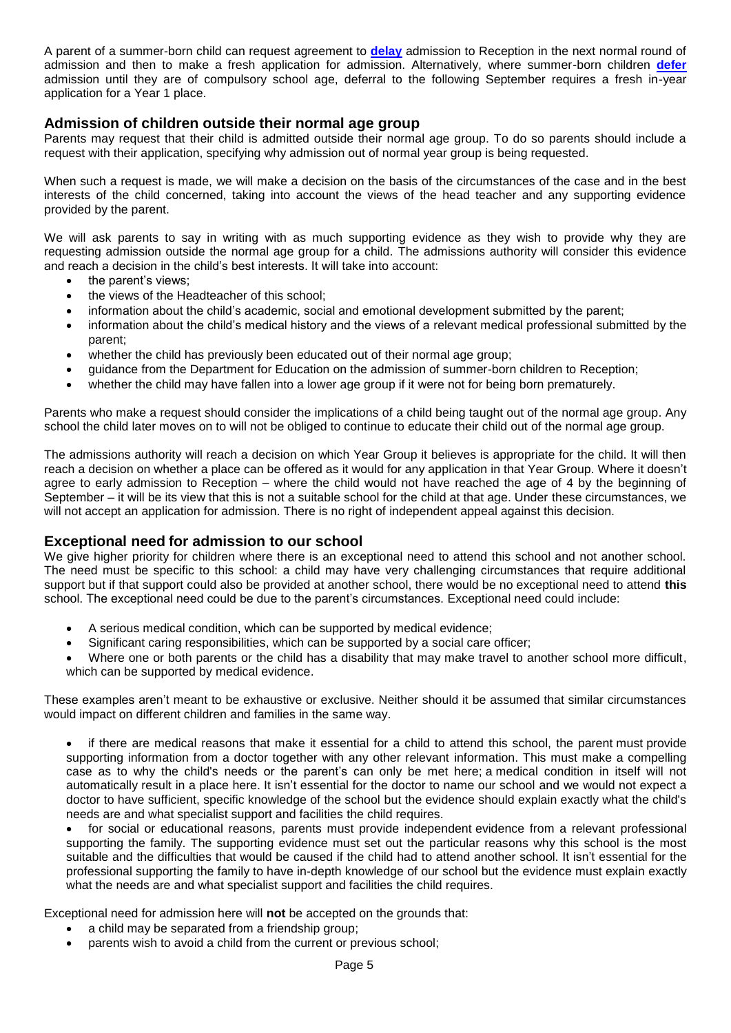A parent of a summer-born child can request agreement to **[delay](#page-8-0)** admission to Reception in the next normal round of admission and then to make a fresh application for admission. Alternatively, where summer-born children **[defer](#page-8-1)** admission until they are of compulsory school age, deferral to the following September requires a fresh in-year application for a Year 1 place.

### **Admission of children outside their normal age group**

Parents may request that their child is admitted outside their normal age group. To do so parents should include a request with their application, specifying why admission out of normal year group is being requested.

When such a request is made, we will make a decision on the basis of the circumstances of the case and in the best interests of the child concerned, taking into account the views of the head teacher and any supporting evidence provided by the parent.

We will ask parents to say in writing with as much supporting evidence as they wish to provide why they are requesting admission outside the normal age group for a child. The admissions authority will consider this evidence and reach a decision in the child's best interests. It will take into account:

- the parent's views;
- the views of the Headteacher of this school;
- information about the child's academic, social and emotional development submitted by the parent;
- information about the child's medical history and the views of a relevant medical professional submitted by the parent;
- whether the child has previously been educated out of their normal age group;
- guidance from the Department for Education on the admission of summer-born children to Reception;
- whether the child may have fallen into a lower age group if it were not for being born prematurely.

Parents who make a request should consider the implications of a child being taught out of the normal age group. Any school the child later moves on to will not be obliged to continue to educate their child out of the normal age group.

The admissions authority will reach a decision on which Year Group it believes is appropriate for the child. It will then reach a decision on whether a place can be offered as it would for any application in that Year Group. Where it doesn't agree to early admission to Reception – where the child would not have reached the age of 4 by the beginning of September – it will be its view that this is not a suitable school for the child at that age. Under these circumstances, we will not accept an application for admission. There is no right of independent appeal against this decision.

#### **Exceptional need for admission to our school**

We give higher priority for children where there is an exceptional need to attend this school and not another school. The need must be specific to this school: a child may have very challenging circumstances that require additional support but if that support could also be provided at another school, there would be no exceptional need to attend **this** school. The exceptional need could be due to the parent's circumstances. Exceptional need could include:

- A serious medical condition, which can be supported by medical evidence;
- Significant caring responsibilities, which can be supported by a social care officer;
- Where one or both parents or the child has a disability that may make travel to another school more difficult, which can be supported by medical evidence.

These examples aren't meant to be exhaustive or exclusive. Neither should it be assumed that similar circumstances would impact on different children and families in the same way.

- if there are medical reasons that make it essential for a child to attend this school, the parent must provide supporting information from a doctor together with any other relevant information. This must make a compelling case as to why the child's needs or the parent's can only be met here; a medical condition in itself will not automatically result in a place here. It isn't essential for the doctor to name our school and we would not expect a doctor to have sufficient, specific knowledge of the school but the evidence should explain exactly what the child's needs are and what specialist support and facilities the child requires.
- for social or educational reasons, parents must provide independent evidence from a relevant professional supporting the family. The supporting evidence must set out the particular reasons why this school is the most suitable and the difficulties that would be caused if the child had to attend another school. It isn't essential for the professional supporting the family to have in-depth knowledge of our school but the evidence must explain exactly what the needs are and what specialist support and facilities the child requires.

Exceptional need for admission here will **not** be accepted on the grounds that:

- a child may be separated from a friendship group;
- parents wish to avoid a child from the current or previous school;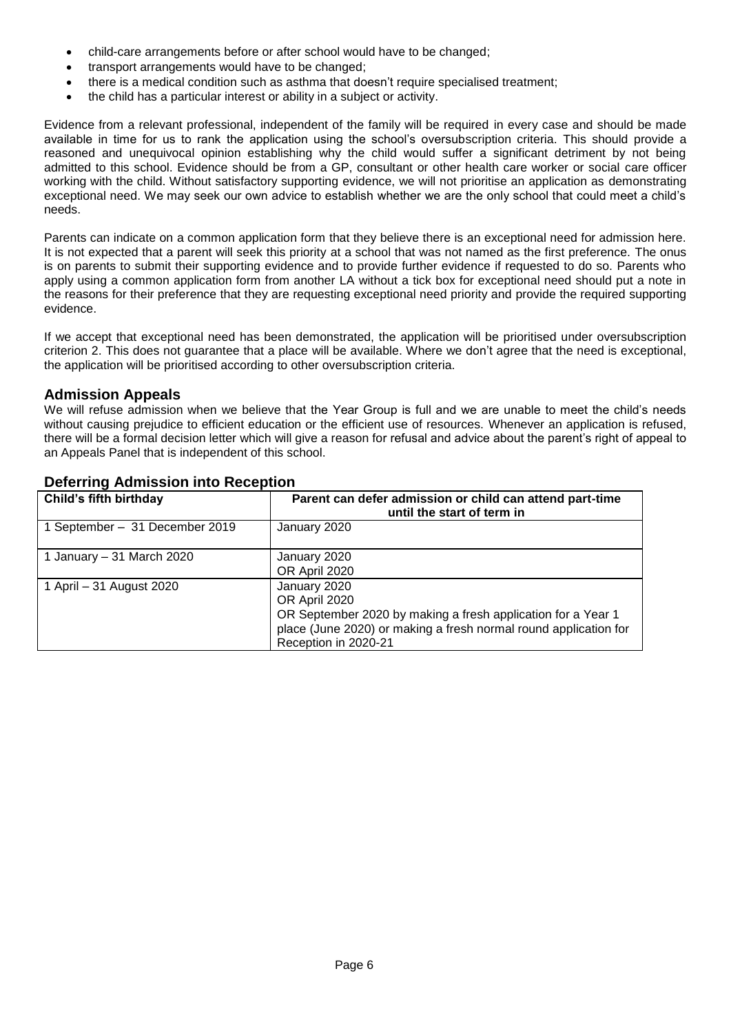- child-care arrangements before or after school would have to be changed;
- transport arrangements would have to be changed;
- there is a medical condition such as asthma that doesn't require specialised treatment;
- the child has a particular interest or ability in a subject or activity.

Evidence from a relevant professional, independent of the family will be required in every case and should be made available in time for us to rank the application using the school's oversubscription criteria. This should provide a reasoned and unequivocal opinion establishing why the child would suffer a significant detriment by not being admitted to this school. Evidence should be from a GP, consultant or other health care worker or social care officer working with the child. Without satisfactory supporting evidence, we will not prioritise an application as demonstrating exceptional need. We may seek our own advice to establish whether we are the only school that could meet a child's needs.

Parents can indicate on a common application form that they believe there is an exceptional need for admission here. It is not expected that a parent will seek this priority at a school that was not named as the first preference. The onus is on parents to submit their supporting evidence and to provide further evidence if requested to do so. Parents who apply using a common application form from another LA without a tick box for exceptional need should put a note in the reasons for their preference that they are requesting exceptional need priority and provide the required supporting evidence.

If we accept that exceptional need has been demonstrated, the application will be prioritised under oversubscription criterion 2. This does not guarantee that a place will be available. Where we don't agree that the need is exceptional, the application will be prioritised according to other oversubscription criteria.

### <span id="page-5-0"></span>**Admission Appeals**

We will refuse admission when we believe that the Year Group is full and we are unable to meet the child's needs without causing prejudice to efficient education or the efficient use of resources. Whenever an application is refused, there will be a formal decision letter which will give a reason for refusal and advice about the parent's right of appeal to an Appeals Panel that is independent of this school.

| Child's fifth birthday         | Parent can defer admission or child can attend part-time<br>until the start of term in                                                                                                    |
|--------------------------------|-------------------------------------------------------------------------------------------------------------------------------------------------------------------------------------------|
| 1 September - 31 December 2019 | January 2020                                                                                                                                                                              |
| 1 January – 31 March 2020      | January 2020<br>OR April 2020                                                                                                                                                             |
| 1 April – 31 August 2020       | January 2020<br>OR April 2020<br>OR September 2020 by making a fresh application for a Year 1<br>place (June 2020) or making a fresh normal round application for<br>Reception in 2020-21 |

# <span id="page-5-1"></span>**Deferring Admission into Reception**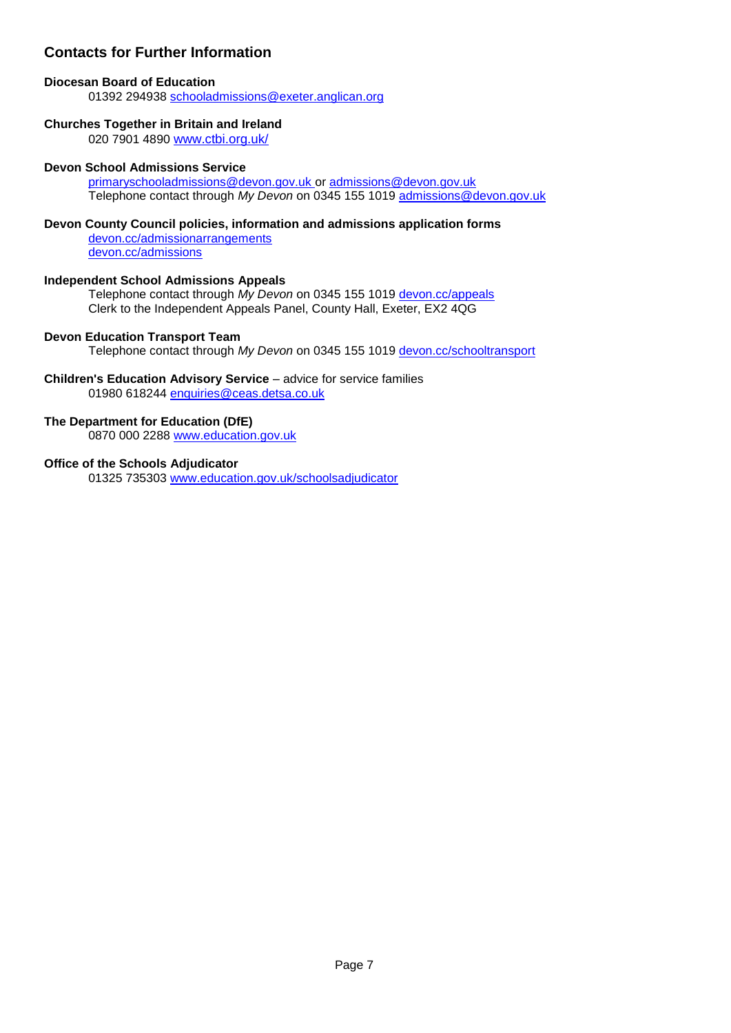# **Contacts for Further Information**

# **Diocesan Board of Education**

01392 294938 [schooladmissions@exeter.anglican.org](mailto:schooladmissions@exeter.anglican.org)

# **Churches Together in Britain and Ireland**

020 7901 4890 [www.ctbi.org.uk/](http://www.ctbi.org.uk/)

# **Devon School Admissions Service**

[primaryschooladmissions@devon.gov.uk](mailto:primaryschooladmissions@devon.gov.uk) or [admissions@devon.gov.uk](mailto:admissions@devon.gov.uk) Telephone contact through *My Devon* on 0345 155 1019 [admissions@devon.gov.uk](mailto:admissions@devon.gov.uk)

# **Devon County Council policies, information and admissions application forms**

[devon.cc/admissionarrangements](http://devon.cc/admissionarrangements) [devon.cc/admissions](http://devon.cc/admissions)

# **Independent School Admissions Appeals**

Telephone contact through *My Devon* on 0345 155 1019 [devon.cc/appeals](http://devon.cc/appeals) Clerk to the Independent Appeals Panel, County Hall, Exeter, EX2 4QG

# **Devon Education Transport Team**

Telephone contact through *My Devon* on 0345 155 1019 [devon.cc/schooltransport](http://devon.cc/schooltransport)

#### **Children's Education Advisory Service** – advice for service families 01980 618244 [enquiries@ceas.detsa.co.uk](mailto:enquiries@ceas.detsa.co.uk)

# **The Department for Education (DfE)**

0870 000 2288 [www.education.gov.uk](http://www.education.gov.uk/)

#### **Office of the Schools Adjudicator**

01325 735303 [www.education.gov.uk/schoolsadjudicator](http://www.education.gov.uk/schoolsadjudicator)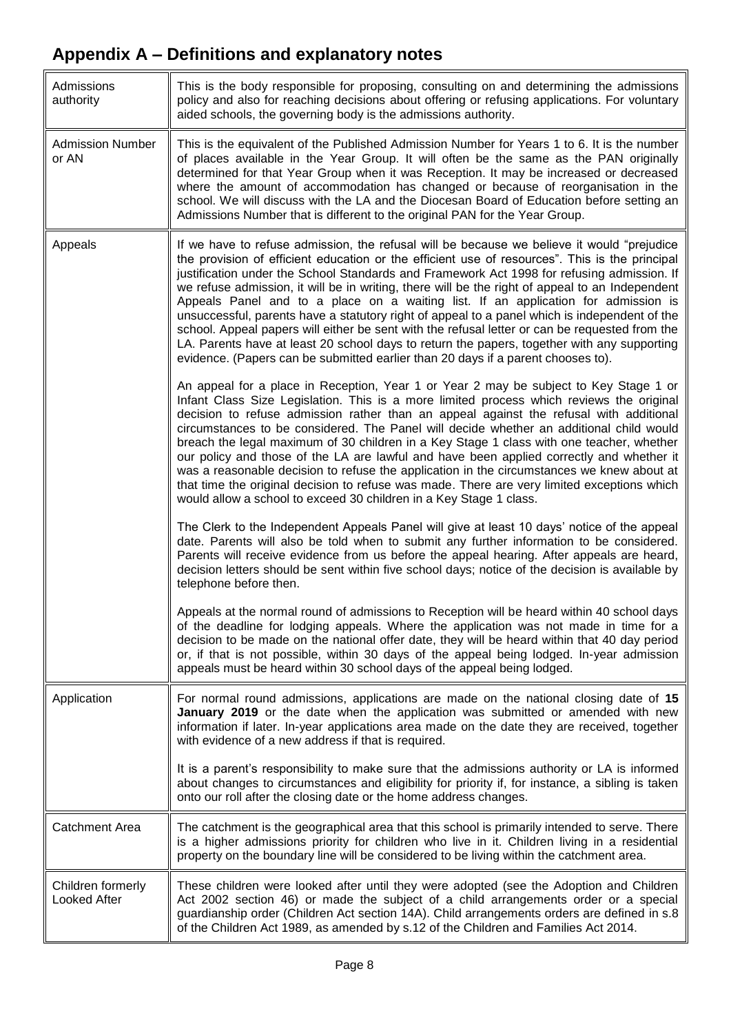<span id="page-7-0"></span>

| Admissions<br>authority           | This is the body responsible for proposing, consulting on and determining the admissions<br>policy and also for reaching decisions about offering or refusing applications. For voluntary<br>aided schools, the governing body is the admissions authority.                                                                                                                                                                                                                                                                                                                                                                                                                                                                                                                                                                                                               |  |
|-----------------------------------|---------------------------------------------------------------------------------------------------------------------------------------------------------------------------------------------------------------------------------------------------------------------------------------------------------------------------------------------------------------------------------------------------------------------------------------------------------------------------------------------------------------------------------------------------------------------------------------------------------------------------------------------------------------------------------------------------------------------------------------------------------------------------------------------------------------------------------------------------------------------------|--|
| <b>Admission Number</b><br>or AN  | This is the equivalent of the Published Admission Number for Years 1 to 6. It is the number<br>of places available in the Year Group. It will often be the same as the PAN originally<br>determined for that Year Group when it was Reception. It may be increased or decreased<br>where the amount of accommodation has changed or because of reorganisation in the<br>school. We will discuss with the LA and the Diocesan Board of Education before setting an<br>Admissions Number that is different to the original PAN for the Year Group.                                                                                                                                                                                                                                                                                                                          |  |
| Appeals                           | If we have to refuse admission, the refusal will be because we believe it would "prejudice<br>the provision of efficient education or the efficient use of resources". This is the principal<br>justification under the School Standards and Framework Act 1998 for refusing admission. If<br>we refuse admission, it will be in writing, there will be the right of appeal to an Independent<br>Appeals Panel and to a place on a waiting list. If an application for admission is<br>unsuccessful, parents have a statutory right of appeal to a panel which is independent of the<br>school. Appeal papers will either be sent with the refusal letter or can be requested from the<br>LA. Parents have at least 20 school days to return the papers, together with any supporting<br>evidence. (Papers can be submitted earlier than 20 days if a parent chooses to). |  |
|                                   | An appeal for a place in Reception, Year 1 or Year 2 may be subject to Key Stage 1 or<br>Infant Class Size Legislation. This is a more limited process which reviews the original<br>decision to refuse admission rather than an appeal against the refusal with additional<br>circumstances to be considered. The Panel will decide whether an additional child would<br>breach the legal maximum of 30 children in a Key Stage 1 class with one teacher, whether<br>our policy and those of the LA are lawful and have been applied correctly and whether it<br>was a reasonable decision to refuse the application in the circumstances we knew about at<br>that time the original decision to refuse was made. There are very limited exceptions which<br>would allow a school to exceed 30 children in a Key Stage 1 class.                                          |  |
|                                   | The Clerk to the Independent Appeals Panel will give at least 10 days' notice of the appeal<br>date. Parents will also be told when to submit any further information to be considered.<br>Parents will receive evidence from us before the appeal hearing. After appeals are heard,<br>decision letters should be sent within five school days; notice of the decision is available by<br>telephone before then.                                                                                                                                                                                                                                                                                                                                                                                                                                                         |  |
|                                   | Appeals at the normal round of admissions to Reception will be heard within 40 school days<br>of the deadline for lodging appeals. Where the application was not made in time for a<br>decision to be made on the national offer date, they will be heard within that 40 day period<br>or, if that is not possible, within 30 days of the appeal being lodged. In-year admission<br>appeals must be heard within 30 school days of the appeal being lodged.                                                                                                                                                                                                                                                                                                                                                                                                               |  |
| Application                       | For normal round admissions, applications are made on the national closing date of 15<br>January 2019 or the date when the application was submitted or amended with new<br>information if later. In-year applications area made on the date they are received, together<br>with evidence of a new address if that is required.                                                                                                                                                                                                                                                                                                                                                                                                                                                                                                                                           |  |
|                                   | It is a parent's responsibility to make sure that the admissions authority or LA is informed<br>about changes to circumstances and eligibility for priority if, for instance, a sibling is taken<br>onto our roll after the closing date or the home address changes.                                                                                                                                                                                                                                                                                                                                                                                                                                                                                                                                                                                                     |  |
| Catchment Area                    | The catchment is the geographical area that this school is primarily intended to serve. There<br>is a higher admissions priority for children who live in it. Children living in a residential<br>property on the boundary line will be considered to be living within the catchment area.                                                                                                                                                                                                                                                                                                                                                                                                                                                                                                                                                                                |  |
| Children formerly<br>Looked After | These children were looked after until they were adopted (see the Adoption and Children<br>Act 2002 section 46) or made the subject of a child arrangements order or a special<br>guardianship order (Children Act section 14A). Child arrangements orders are defined in s.8<br>of the Children Act 1989, as amended by s.12 of the Children and Families Act 2014.                                                                                                                                                                                                                                                                                                                                                                                                                                                                                                      |  |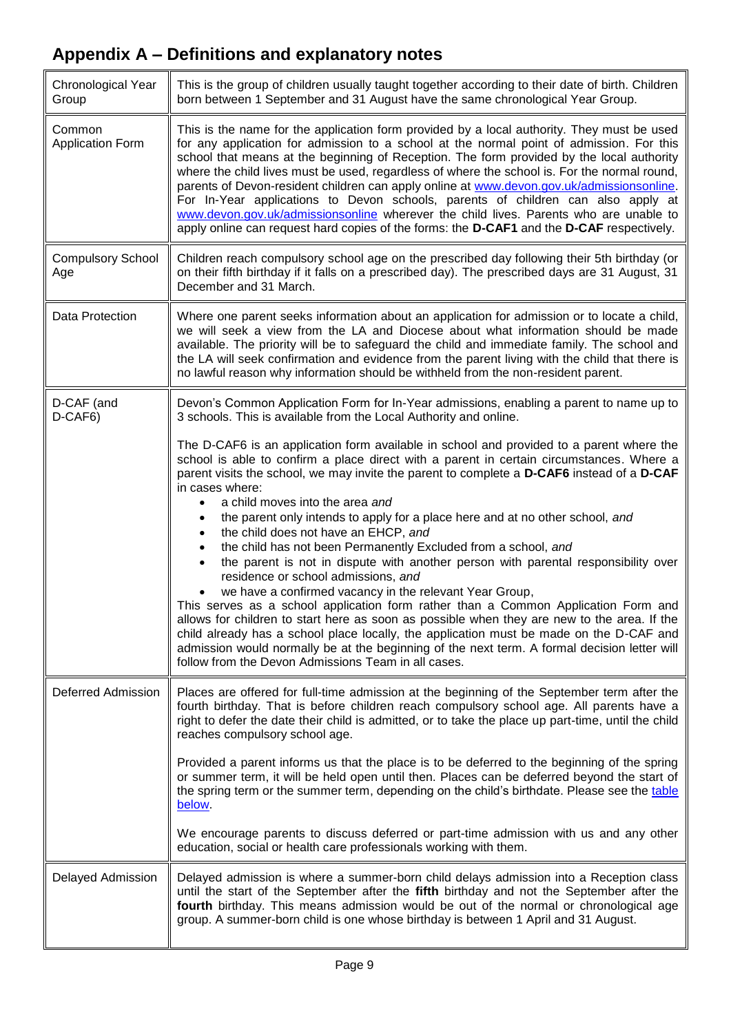<span id="page-8-1"></span><span id="page-8-0"></span>

| Chronological Year<br>Group       | This is the group of children usually taught together according to their date of birth. Children<br>born between 1 September and 31 August have the same chronological Year Group.                                                                                                                                                                                                                                                                                                                                                                                                                                                                                                                                                                                                                                                                                                                                                                                                                                                                                                                                                                                 |  |
|-----------------------------------|--------------------------------------------------------------------------------------------------------------------------------------------------------------------------------------------------------------------------------------------------------------------------------------------------------------------------------------------------------------------------------------------------------------------------------------------------------------------------------------------------------------------------------------------------------------------------------------------------------------------------------------------------------------------------------------------------------------------------------------------------------------------------------------------------------------------------------------------------------------------------------------------------------------------------------------------------------------------------------------------------------------------------------------------------------------------------------------------------------------------------------------------------------------------|--|
| Common<br><b>Application Form</b> | This is the name for the application form provided by a local authority. They must be used<br>for any application for admission to a school at the normal point of admission. For this<br>school that means at the beginning of Reception. The form provided by the local authority<br>where the child lives must be used, regardless of where the school is. For the normal round,<br>parents of Devon-resident children can apply online at www.devon.gov.uk/admissionsonline.<br>For In-Year applications to Devon schools, parents of children can also apply at<br>www.devon.gov.uk/admissionsonline wherever the child lives. Parents who are unable to<br>apply online can request hard copies of the forms: the D-CAF1 and the D-CAF respectively.                                                                                                                                                                                                                                                                                                                                                                                                         |  |
| <b>Compulsory School</b><br>Age   | Children reach compulsory school age on the prescribed day following their 5th birthday (or<br>on their fifth birthday if it falls on a prescribed day). The prescribed days are 31 August, 31<br>December and 31 March.                                                                                                                                                                                                                                                                                                                                                                                                                                                                                                                                                                                                                                                                                                                                                                                                                                                                                                                                           |  |
| Data Protection                   | Where one parent seeks information about an application for admission or to locate a child,<br>we will seek a view from the LA and Diocese about what information should be made<br>available. The priority will be to safeguard the child and immediate family. The school and<br>the LA will seek confirmation and evidence from the parent living with the child that there is<br>no lawful reason why information should be withheld from the non-resident parent.                                                                                                                                                                                                                                                                                                                                                                                                                                                                                                                                                                                                                                                                                             |  |
| D-CAF (and<br>D-CAF6)             | Devon's Common Application Form for In-Year admissions, enabling a parent to name up to<br>3 schools. This is available from the Local Authority and online.                                                                                                                                                                                                                                                                                                                                                                                                                                                                                                                                                                                                                                                                                                                                                                                                                                                                                                                                                                                                       |  |
|                                   | The D-CAF6 is an application form available in school and provided to a parent where the<br>school is able to confirm a place direct with a parent in certain circumstances. Where a<br>parent visits the school, we may invite the parent to complete a D-CAF6 instead of a D-CAF<br>in cases where:<br>a child moves into the area and<br>the parent only intends to apply for a place here and at no other school, and<br>the child does not have an EHCP, and<br>the child has not been Permanently Excluded from a school, and<br>the parent is not in dispute with another person with parental responsibility over<br>residence or school admissions, and<br>we have a confirmed vacancy in the relevant Year Group,<br>This serves as a school application form rather than a Common Application Form and<br>allows for children to start here as soon as possible when they are new to the area. If the<br>child already has a school place locally, the application must be made on the D-CAF and<br>admission would normally be at the beginning of the next term. A formal decision letter will<br>follow from the Devon Admissions Team in all cases. |  |
| <b>Deferred Admission</b>         | Places are offered for full-time admission at the beginning of the September term after the<br>fourth birthday. That is before children reach compulsory school age. All parents have a<br>right to defer the date their child is admitted, or to take the place up part-time, until the child<br>reaches compulsory school age.                                                                                                                                                                                                                                                                                                                                                                                                                                                                                                                                                                                                                                                                                                                                                                                                                                   |  |
|                                   | Provided a parent informs us that the place is to be deferred to the beginning of the spring<br>or summer term, it will be held open until then. Places can be deferred beyond the start of<br>the spring term or the summer term, depending on the child's birthdate. Please see the table<br>below.                                                                                                                                                                                                                                                                                                                                                                                                                                                                                                                                                                                                                                                                                                                                                                                                                                                              |  |
|                                   | We encourage parents to discuss deferred or part-time admission with us and any other<br>education, social or health care professionals working with them.                                                                                                                                                                                                                                                                                                                                                                                                                                                                                                                                                                                                                                                                                                                                                                                                                                                                                                                                                                                                         |  |
| Delayed Admission                 | Delayed admission is where a summer-born child delays admission into a Reception class<br>until the start of the September after the fifth birthday and not the September after the<br>fourth birthday. This means admission would be out of the normal or chronological age<br>group. A summer-born child is one whose birthday is between 1 April and 31 August.                                                                                                                                                                                                                                                                                                                                                                                                                                                                                                                                                                                                                                                                                                                                                                                                 |  |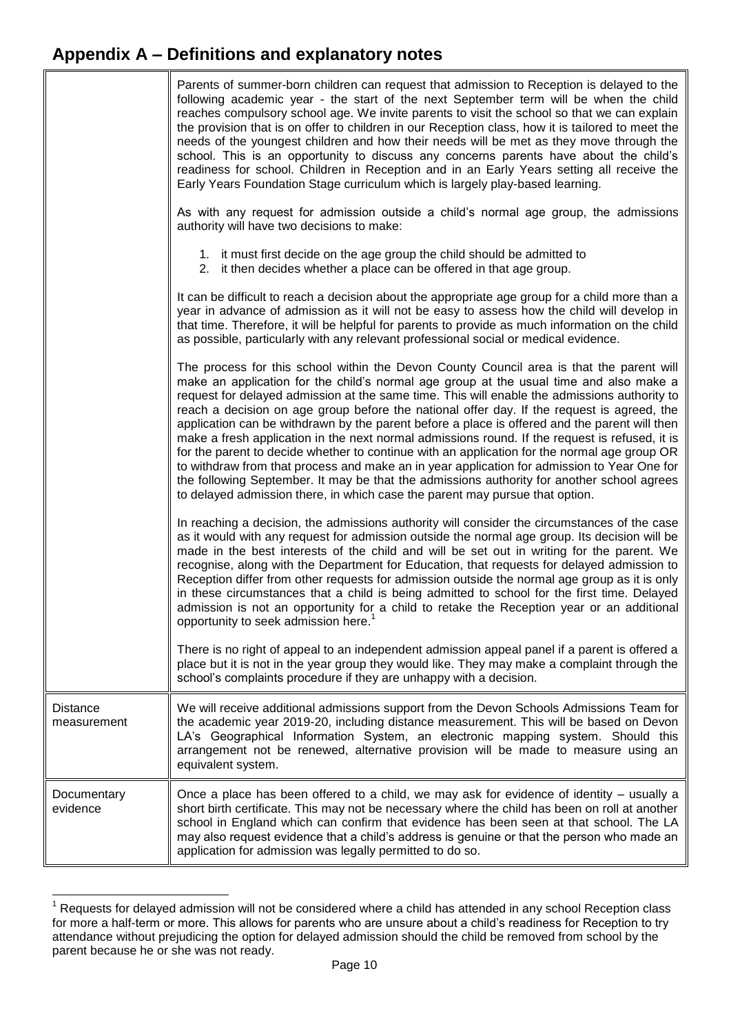|                                | Parents of summer-born children can request that admission to Reception is delayed to the<br>following academic year - the start of the next September term will be when the child<br>reaches compulsory school age. We invite parents to visit the school so that we can explain<br>the provision that is on offer to children in our Reception class, how it is tailored to meet the<br>needs of the youngest children and how their needs will be met as they move through the<br>school. This is an opportunity to discuss any concerns parents have about the child's<br>readiness for school. Children in Reception and in an Early Years setting all receive the<br>Early Years Foundation Stage curriculum which is largely play-based learning.                                                                                                                                                                                                         |
|--------------------------------|------------------------------------------------------------------------------------------------------------------------------------------------------------------------------------------------------------------------------------------------------------------------------------------------------------------------------------------------------------------------------------------------------------------------------------------------------------------------------------------------------------------------------------------------------------------------------------------------------------------------------------------------------------------------------------------------------------------------------------------------------------------------------------------------------------------------------------------------------------------------------------------------------------------------------------------------------------------|
|                                | As with any request for admission outside a child's normal age group, the admissions<br>authority will have two decisions to make:                                                                                                                                                                                                                                                                                                                                                                                                                                                                                                                                                                                                                                                                                                                                                                                                                               |
|                                | 1. it must first decide on the age group the child should be admitted to<br>2. it then decides whether a place can be offered in that age group.                                                                                                                                                                                                                                                                                                                                                                                                                                                                                                                                                                                                                                                                                                                                                                                                                 |
|                                | It can be difficult to reach a decision about the appropriate age group for a child more than a<br>year in advance of admission as it will not be easy to assess how the child will develop in<br>that time. Therefore, it will be helpful for parents to provide as much information on the child<br>as possible, particularly with any relevant professional social or medical evidence.                                                                                                                                                                                                                                                                                                                                                                                                                                                                                                                                                                       |
|                                | The process for this school within the Devon County Council area is that the parent will<br>make an application for the child's normal age group at the usual time and also make a<br>request for delayed admission at the same time. This will enable the admissions authority to<br>reach a decision on age group before the national offer day. If the request is agreed, the<br>application can be withdrawn by the parent before a place is offered and the parent will then<br>make a fresh application in the next normal admissions round. If the request is refused, it is<br>for the parent to decide whether to continue with an application for the normal age group OR<br>to withdraw from that process and make an in year application for admission to Year One for<br>the following September. It may be that the admissions authority for another school agrees<br>to delayed admission there, in which case the parent may pursue that option. |
|                                | In reaching a decision, the admissions authority will consider the circumstances of the case<br>as it would with any request for admission outside the normal age group. Its decision will be<br>made in the best interests of the child and will be set out in writing for the parent. We<br>recognise, along with the Department for Education, that requests for delayed admission to<br>Reception differ from other requests for admission outside the normal age group as it is only<br>in these circumstances that a child is being admitted to school for the first time. Delayed<br>admission is not an opportunity for a child to retake the Reception year or an additional<br>opportunity to seek admission here. <sup>1</sup>                                                                                                                                                                                                                        |
|                                | There is no right of appeal to an independent admission appeal panel if a parent is offered a<br>place but it is not in the year group they would like. They may make a complaint through the<br>school's complaints procedure if they are unhappy with a decision.                                                                                                                                                                                                                                                                                                                                                                                                                                                                                                                                                                                                                                                                                              |
| <b>Distance</b><br>measurement | We will receive additional admissions support from the Devon Schools Admissions Team for<br>the academic year 2019-20, including distance measurement. This will be based on Devon<br>LA's Geographical Information System, an electronic mapping system. Should this<br>arrangement not be renewed, alternative provision will be made to measure using an<br>equivalent system.                                                                                                                                                                                                                                                                                                                                                                                                                                                                                                                                                                                |
| Documentary<br>evidence        | Once a place has been offered to a child, we may ask for evidence of identity – usually a<br>short birth certificate. This may not be necessary where the child has been on roll at another<br>school in England which can confirm that evidence has been seen at that school. The LA<br>may also request evidence that a child's address is genuine or that the person who made an<br>application for admission was legally permitted to do so.                                                                                                                                                                                                                                                                                                                                                                                                                                                                                                                 |

  $1$  Requests for delayed admission will not be considered where a child has attended in any school Reception class for more a half-term or more. This allows for parents who are unsure about a child's readiness for Reception to try attendance without prejudicing the option for delayed admission should the child be removed from school by the parent because he or she was not ready.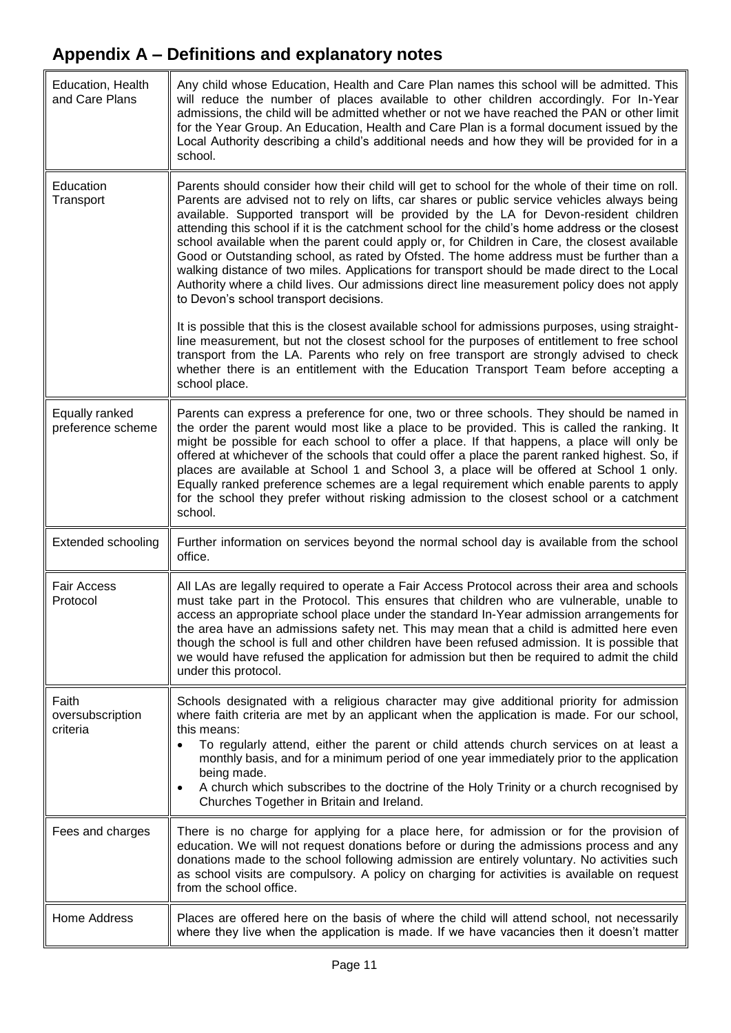| Education, Health<br>and Care Plans   | Any child whose Education, Health and Care Plan names this school will be admitted. This<br>will reduce the number of places available to other children accordingly. For In-Year<br>admissions, the child will be admitted whether or not we have reached the PAN or other limit<br>for the Year Group. An Education, Health and Care Plan is a formal document issued by the<br>Local Authority describing a child's additional needs and how they will be provided for in a<br>school.                                                                                                                                                                                                                                                                                                                                       |  |
|---------------------------------------|---------------------------------------------------------------------------------------------------------------------------------------------------------------------------------------------------------------------------------------------------------------------------------------------------------------------------------------------------------------------------------------------------------------------------------------------------------------------------------------------------------------------------------------------------------------------------------------------------------------------------------------------------------------------------------------------------------------------------------------------------------------------------------------------------------------------------------|--|
| Education<br>Transport                | Parents should consider how their child will get to school for the whole of their time on roll.<br>Parents are advised not to rely on lifts, car shares or public service vehicles always being<br>available. Supported transport will be provided by the LA for Devon-resident children<br>attending this school if it is the catchment school for the child's home address or the closest<br>school available when the parent could apply or, for Children in Care, the closest available<br>Good or Outstanding school, as rated by Ofsted. The home address must be further than a<br>walking distance of two miles. Applications for transport should be made direct to the Local<br>Authority where a child lives. Our admissions direct line measurement policy does not apply<br>to Devon's school transport decisions. |  |
|                                       | It is possible that this is the closest available school for admissions purposes, using straight-<br>line measurement, but not the closest school for the purposes of entitlement to free school<br>transport from the LA. Parents who rely on free transport are strongly advised to check<br>whether there is an entitlement with the Education Transport Team before accepting a<br>school place.                                                                                                                                                                                                                                                                                                                                                                                                                            |  |
| Equally ranked<br>preference scheme   | Parents can express a preference for one, two or three schools. They should be named in<br>the order the parent would most like a place to be provided. This is called the ranking. It<br>might be possible for each school to offer a place. If that happens, a place will only be<br>offered at whichever of the schools that could offer a place the parent ranked highest. So, if<br>places are available at School 1 and School 3, a place will be offered at School 1 only.<br>Equally ranked preference schemes are a legal requirement which enable parents to apply<br>for the school they prefer without risking admission to the closest school or a catchment<br>school.                                                                                                                                            |  |
| <b>Extended schooling</b>             | Further information on services beyond the normal school day is available from the school<br>office.                                                                                                                                                                                                                                                                                                                                                                                                                                                                                                                                                                                                                                                                                                                            |  |
| <b>Fair Access</b><br>Protocol        | All LAs are legally required to operate a Fair Access Protocol across their area and schools<br>must take part in the Protocol. This ensures that children who are vulnerable, unable to<br>access an appropriate school place under the standard In-Year admission arrangements for<br>the area have an admissions safety net. This may mean that a child is admitted here even<br>though the school is full and other children have been refused admission. It is possible that<br>we would have refused the application for admission but then be required to admit the child<br>under this protocol.                                                                                                                                                                                                                        |  |
| Faith<br>oversubscription<br>criteria | Schools designated with a religious character may give additional priority for admission<br>where faith criteria are met by an applicant when the application is made. For our school,<br>this means:<br>To regularly attend, either the parent or child attends church services on at least a<br>monthly basis, and for a minimum period of one year immediately prior to the application<br>being made.<br>A church which subscribes to the doctrine of the Holy Trinity or a church recognised by<br>Churches Together in Britain and Ireland.                                                                                                                                                                                                                                                                               |  |
| Fees and charges                      | There is no charge for applying for a place here, for admission or for the provision of<br>education. We will not request donations before or during the admissions process and any<br>donations made to the school following admission are entirely voluntary. No activities such<br>as school visits are compulsory. A policy on charging for activities is available on request<br>from the school office.                                                                                                                                                                                                                                                                                                                                                                                                                   |  |
| Home Address                          | Places are offered here on the basis of where the child will attend school, not necessarily<br>where they live when the application is made. If we have vacancies then it doesn't matter                                                                                                                                                                                                                                                                                                                                                                                                                                                                                                                                                                                                                                        |  |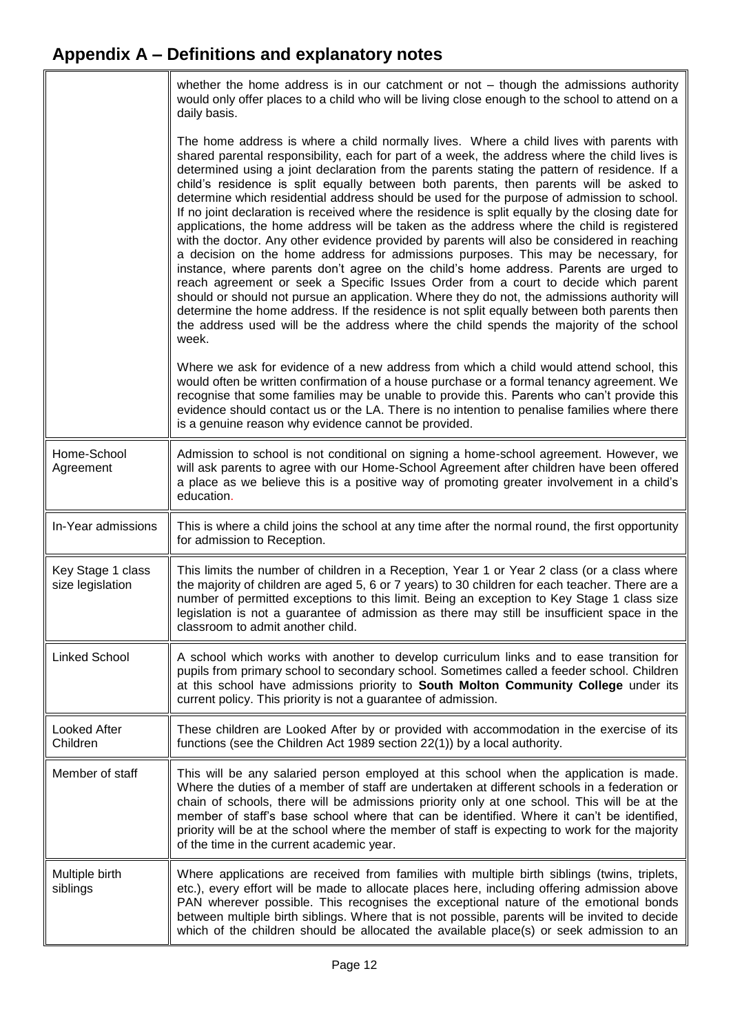<span id="page-11-0"></span> $\overline{\mathbb{F}}$ 

|                                       | whether the home address is in our catchment or not $-$ though the admissions authority<br>would only offer places to a child who will be living close enough to the school to attend on a<br>daily basis.                                                                                                                                                                                                                                                                                                                                                                                                                                                                                                                                                                                                                                                                                                                                                                                                                                                                                                                                                                                                                                                                                                                                               |
|---------------------------------------|----------------------------------------------------------------------------------------------------------------------------------------------------------------------------------------------------------------------------------------------------------------------------------------------------------------------------------------------------------------------------------------------------------------------------------------------------------------------------------------------------------------------------------------------------------------------------------------------------------------------------------------------------------------------------------------------------------------------------------------------------------------------------------------------------------------------------------------------------------------------------------------------------------------------------------------------------------------------------------------------------------------------------------------------------------------------------------------------------------------------------------------------------------------------------------------------------------------------------------------------------------------------------------------------------------------------------------------------------------|
|                                       | The home address is where a child normally lives. Where a child lives with parents with<br>shared parental responsibility, each for part of a week, the address where the child lives is<br>determined using a joint declaration from the parents stating the pattern of residence. If a<br>child's residence is split equally between both parents, then parents will be asked to<br>determine which residential address should be used for the purpose of admission to school.<br>If no joint declaration is received where the residence is split equally by the closing date for<br>applications, the home address will be taken as the address where the child is registered<br>with the doctor. Any other evidence provided by parents will also be considered in reaching<br>a decision on the home address for admissions purposes. This may be necessary, for<br>instance, where parents don't agree on the child's home address. Parents are urged to<br>reach agreement or seek a Specific Issues Order from a court to decide which parent<br>should or should not pursue an application. Where they do not, the admissions authority will<br>determine the home address. If the residence is not split equally between both parents then<br>the address used will be the address where the child spends the majority of the school<br>week. |
|                                       | Where we ask for evidence of a new address from which a child would attend school, this<br>would often be written confirmation of a house purchase or a formal tenancy agreement. We<br>recognise that some families may be unable to provide this. Parents who can't provide this<br>evidence should contact us or the LA. There is no intention to penalise families where there<br>is a genuine reason why evidence cannot be provided.                                                                                                                                                                                                                                                                                                                                                                                                                                                                                                                                                                                                                                                                                                                                                                                                                                                                                                               |
| Home-School<br>Agreement              | Admission to school is not conditional on signing a home-school agreement. However, we<br>will ask parents to agree with our Home-School Agreement after children have been offered<br>a place as we believe this is a positive way of promoting greater involvement in a child's<br>education.                                                                                                                                                                                                                                                                                                                                                                                                                                                                                                                                                                                                                                                                                                                                                                                                                                                                                                                                                                                                                                                          |
| In-Year admissions                    | This is where a child joins the school at any time after the normal round, the first opportunity<br>for admission to Reception.                                                                                                                                                                                                                                                                                                                                                                                                                                                                                                                                                                                                                                                                                                                                                                                                                                                                                                                                                                                                                                                                                                                                                                                                                          |
| Key Stage 1 class<br>size legislation | This limits the number of children in a Reception, Year 1 or Year 2 class (or a class where<br>the majority of children are aged 5, 6 or 7 years) to 30 children for each teacher. There are a<br>number of permitted exceptions to this limit. Being an exception to Key Stage 1 class size<br>legislation is not a guarantee of admission as there may still be insufficient space in the<br>classroom to admit another child.                                                                                                                                                                                                                                                                                                                                                                                                                                                                                                                                                                                                                                                                                                                                                                                                                                                                                                                         |
| <b>Linked School</b>                  | A school which works with another to develop curriculum links and to ease transition for<br>pupils from primary school to secondary school. Sometimes called a feeder school. Children<br>at this school have admissions priority to South Molton Community College under its<br>current policy. This priority is not a guarantee of admission.                                                                                                                                                                                                                                                                                                                                                                                                                                                                                                                                                                                                                                                                                                                                                                                                                                                                                                                                                                                                          |
| Looked After<br>Children              | These children are Looked After by or provided with accommodation in the exercise of its<br>functions (see the Children Act 1989 section 22(1)) by a local authority.                                                                                                                                                                                                                                                                                                                                                                                                                                                                                                                                                                                                                                                                                                                                                                                                                                                                                                                                                                                                                                                                                                                                                                                    |
| Member of staff                       | This will be any salaried person employed at this school when the application is made.<br>Where the duties of a member of staff are undertaken at different schools in a federation or<br>chain of schools, there will be admissions priority only at one school. This will be at the<br>member of staff's base school where that can be identified. Where it can't be identified,<br>priority will be at the school where the member of staff is expecting to work for the majority<br>of the time in the current academic year.                                                                                                                                                                                                                                                                                                                                                                                                                                                                                                                                                                                                                                                                                                                                                                                                                        |
| Multiple birth<br>siblings            | Where applications are received from families with multiple birth siblings (twins, triplets,<br>etc.), every effort will be made to allocate places here, including offering admission above<br>PAN wherever possible. This recognises the exceptional nature of the emotional bonds<br>between multiple birth siblings. Where that is not possible, parents will be invited to decide<br>which of the children should be allocated the available place(s) or seek admission to an                                                                                                                                                                                                                                                                                                                                                                                                                                                                                                                                                                                                                                                                                                                                                                                                                                                                       |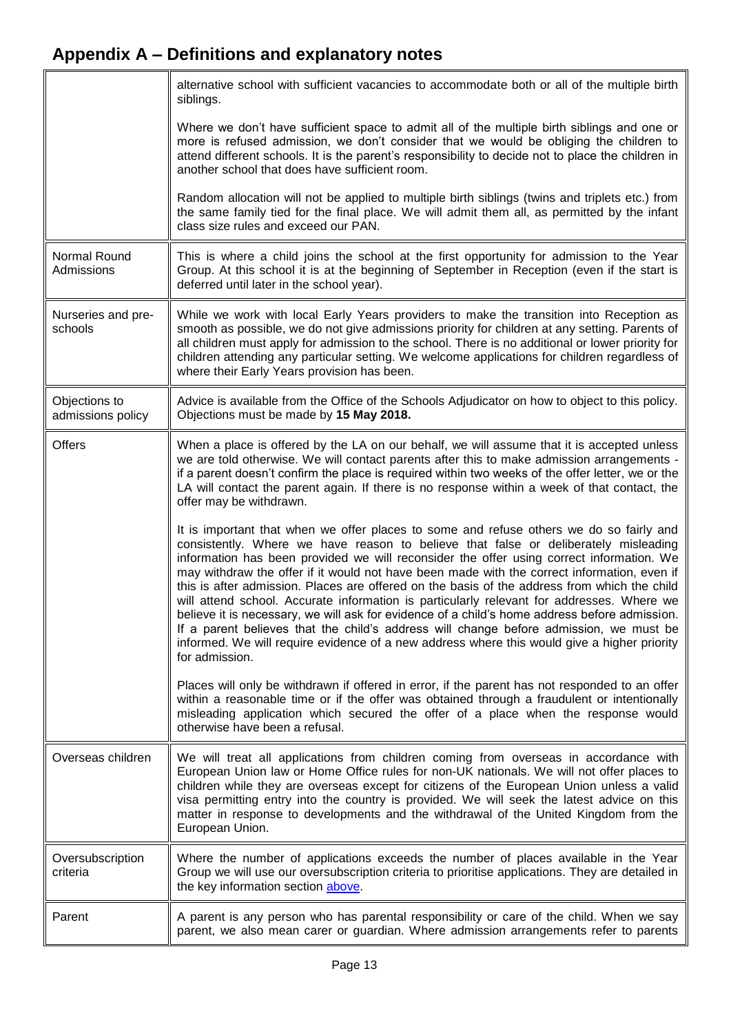<span id="page-12-0"></span>

|                                    | alternative school with sufficient vacancies to accommodate both or all of the multiple birth<br>siblings.                                                                                                                                                                                                                                                                                                                                                                                                                                                                                                                                                                                                                                                                                                                                                                         |
|------------------------------------|------------------------------------------------------------------------------------------------------------------------------------------------------------------------------------------------------------------------------------------------------------------------------------------------------------------------------------------------------------------------------------------------------------------------------------------------------------------------------------------------------------------------------------------------------------------------------------------------------------------------------------------------------------------------------------------------------------------------------------------------------------------------------------------------------------------------------------------------------------------------------------|
|                                    | Where we don't have sufficient space to admit all of the multiple birth siblings and one or<br>more is refused admission, we don't consider that we would be obliging the children to<br>attend different schools. It is the parent's responsibility to decide not to place the children in<br>another school that does have sufficient room.                                                                                                                                                                                                                                                                                                                                                                                                                                                                                                                                      |
|                                    | Random allocation will not be applied to multiple birth siblings (twins and triplets etc.) from<br>the same family tied for the final place. We will admit them all, as permitted by the infant<br>class size rules and exceed our PAN.                                                                                                                                                                                                                                                                                                                                                                                                                                                                                                                                                                                                                                            |
| Normal Round<br>Admissions         | This is where a child joins the school at the first opportunity for admission to the Year<br>Group. At this school it is at the beginning of September in Reception (even if the start is<br>deferred until later in the school year).                                                                                                                                                                                                                                                                                                                                                                                                                                                                                                                                                                                                                                             |
| Nurseries and pre-<br>schools      | While we work with local Early Years providers to make the transition into Reception as<br>smooth as possible, we do not give admissions priority for children at any setting. Parents of<br>all children must apply for admission to the school. There is no additional or lower priority for<br>children attending any particular setting. We welcome applications for children regardless of<br>where their Early Years provision has been.                                                                                                                                                                                                                                                                                                                                                                                                                                     |
| Objections to<br>admissions policy | Advice is available from the Office of the Schools Adjudicator on how to object to this policy.<br>Objections must be made by 15 May 2018.                                                                                                                                                                                                                                                                                                                                                                                                                                                                                                                                                                                                                                                                                                                                         |
| Offers                             | When a place is offered by the LA on our behalf, we will assume that it is accepted unless<br>we are told otherwise. We will contact parents after this to make admission arrangements -<br>if a parent doesn't confirm the place is required within two weeks of the offer letter, we or the<br>LA will contact the parent again. If there is no response within a week of that contact, the<br>offer may be withdrawn.                                                                                                                                                                                                                                                                                                                                                                                                                                                           |
|                                    | It is important that when we offer places to some and refuse others we do so fairly and<br>consistently. Where we have reason to believe that false or deliberately misleading<br>information has been provided we will reconsider the offer using correct information. We<br>may withdraw the offer if it would not have been made with the correct information, even if<br>this is after admission. Places are offered on the basis of the address from which the child<br>will attend school. Accurate information is particularly relevant for addresses. Where we<br>believe it is necessary, we will ask for evidence of a child's home address before admission.<br>If a parent believes that the child's address will change before admission, we must be<br>informed. We will require evidence of a new address where this would give a higher priority<br>for admission. |
|                                    | Places will only be withdrawn if offered in error, if the parent has not responded to an offer<br>within a reasonable time or if the offer was obtained through a fraudulent or intentionally<br>misleading application which secured the offer of a place when the response would<br>otherwise have been a refusal.                                                                                                                                                                                                                                                                                                                                                                                                                                                                                                                                                               |
| Overseas children                  | We will treat all applications from children coming from overseas in accordance with<br>European Union law or Home Office rules for non-UK nationals. We will not offer places to<br>children while they are overseas except for citizens of the European Union unless a valid<br>visa permitting entry into the country is provided. We will seek the latest advice on this<br>matter in response to developments and the withdrawal of the United Kingdom from the<br>European Union.                                                                                                                                                                                                                                                                                                                                                                                            |
| Oversubscription<br>criteria       | Where the number of applications exceeds the number of places available in the Year<br>Group we will use our oversubscription criteria to prioritise applications. They are detailed in<br>the key information section above.                                                                                                                                                                                                                                                                                                                                                                                                                                                                                                                                                                                                                                                      |
| Parent                             | A parent is any person who has parental responsibility or care of the child. When we say<br>parent, we also mean carer or guardian. Where admission arrangements refer to parents                                                                                                                                                                                                                                                                                                                                                                                                                                                                                                                                                                                                                                                                                                  |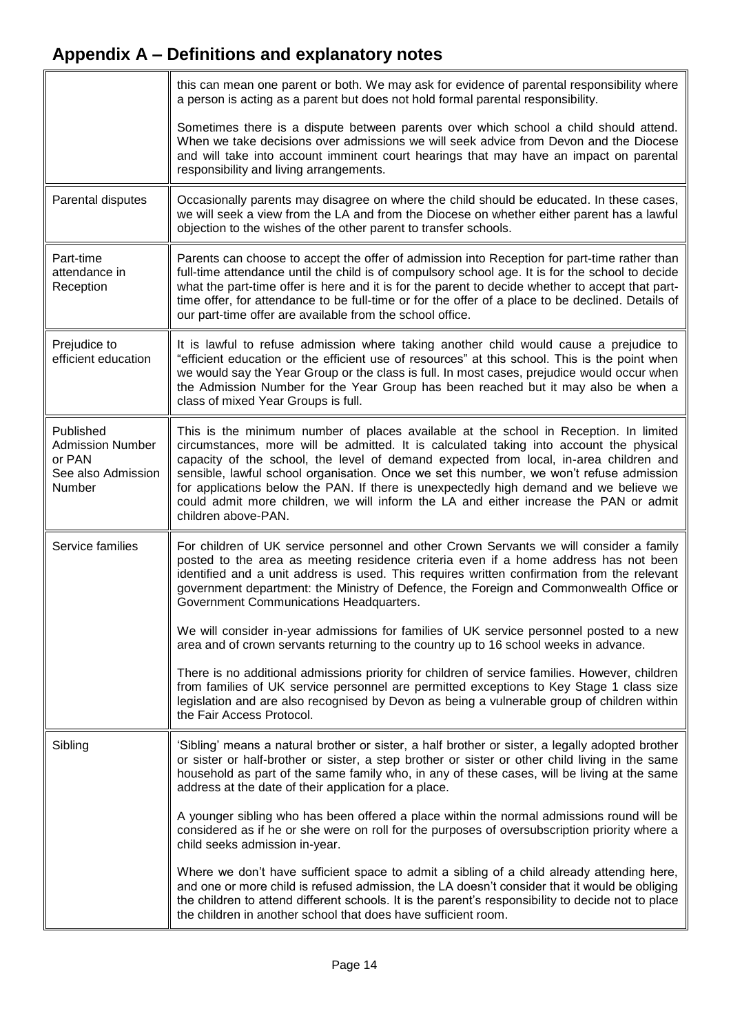<span id="page-13-0"></span>

|                                                                                | this can mean one parent or both. We may ask for evidence of parental responsibility where<br>a person is acting as a parent but does not hold formal parental responsibility.                                                                                                                                                                                                                                                                                                                                                                                                  |  |
|--------------------------------------------------------------------------------|---------------------------------------------------------------------------------------------------------------------------------------------------------------------------------------------------------------------------------------------------------------------------------------------------------------------------------------------------------------------------------------------------------------------------------------------------------------------------------------------------------------------------------------------------------------------------------|--|
|                                                                                | Sometimes there is a dispute between parents over which school a child should attend.<br>When we take decisions over admissions we will seek advice from Devon and the Diocese<br>and will take into account imminent court hearings that may have an impact on parental<br>responsibility and living arrangements.                                                                                                                                                                                                                                                             |  |
| Parental disputes                                                              | Occasionally parents may disagree on where the child should be educated. In these cases,<br>we will seek a view from the LA and from the Diocese on whether either parent has a lawful<br>objection to the wishes of the other parent to transfer schools.                                                                                                                                                                                                                                                                                                                      |  |
| Part-time<br>attendance in<br>Reception                                        | Parents can choose to accept the offer of admission into Reception for part-time rather than<br>full-time attendance until the child is of compulsory school age. It is for the school to decide<br>what the part-time offer is here and it is for the parent to decide whether to accept that part-<br>time offer, for attendance to be full-time or for the offer of a place to be declined. Details of<br>our part-time offer are available from the school office.                                                                                                          |  |
| Prejudice to<br>efficient education                                            | It is lawful to refuse admission where taking another child would cause a prejudice to<br>"efficient education or the efficient use of resources" at this school. This is the point when<br>we would say the Year Group or the class is full. In most cases, prejudice would occur when<br>the Admission Number for the Year Group has been reached but it may also be when a<br>class of mixed Year Groups is full.                                                                                                                                                            |  |
| Published<br><b>Admission Number</b><br>or PAN<br>See also Admission<br>Number | This is the minimum number of places available at the school in Reception. In limited<br>circumstances, more will be admitted. It is calculated taking into account the physical<br>capacity of the school, the level of demand expected from local, in-area children and<br>sensible, lawful school organisation. Once we set this number, we won't refuse admission<br>for applications below the PAN. If there is unexpectedly high demand and we believe we<br>could admit more children, we will inform the LA and either increase the PAN or admit<br>children above-PAN. |  |
| Service families                                                               | For children of UK service personnel and other Crown Servants we will consider a family<br>posted to the area as meeting residence criteria even if a home address has not been<br>identified and a unit address is used. This requires written confirmation from the relevant<br>government department: the Ministry of Defence, the Foreign and Commonwealth Office or<br>Government Communications Headquarters.                                                                                                                                                             |  |
|                                                                                | We will consider in-year admissions for families of UK service personnel posted to a new<br>area and of crown servants returning to the country up to 16 school weeks in advance.                                                                                                                                                                                                                                                                                                                                                                                               |  |
|                                                                                | There is no additional admissions priority for children of service families. However, children<br>from families of UK service personnel are permitted exceptions to Key Stage 1 class size<br>legislation and are also recognised by Devon as being a vulnerable group of children within<br>the Fair Access Protocol.                                                                                                                                                                                                                                                          |  |
| Sibling                                                                        | 'Sibling' means a natural brother or sister, a half brother or sister, a legally adopted brother<br>or sister or half-brother or sister, a step brother or sister or other child living in the same<br>household as part of the same family who, in any of these cases, will be living at the same<br>address at the date of their application for a place.                                                                                                                                                                                                                     |  |
|                                                                                | A younger sibling who has been offered a place within the normal admissions round will be<br>considered as if he or she were on roll for the purposes of oversubscription priority where a<br>child seeks admission in-year.                                                                                                                                                                                                                                                                                                                                                    |  |
|                                                                                | Where we don't have sufficient space to admit a sibling of a child already attending here,<br>and one or more child is refused admission, the LA doesn't consider that it would be obliging<br>the children to attend different schools. It is the parent's responsibility to decide not to place<br>the children in another school that does have sufficient room.                                                                                                                                                                                                             |  |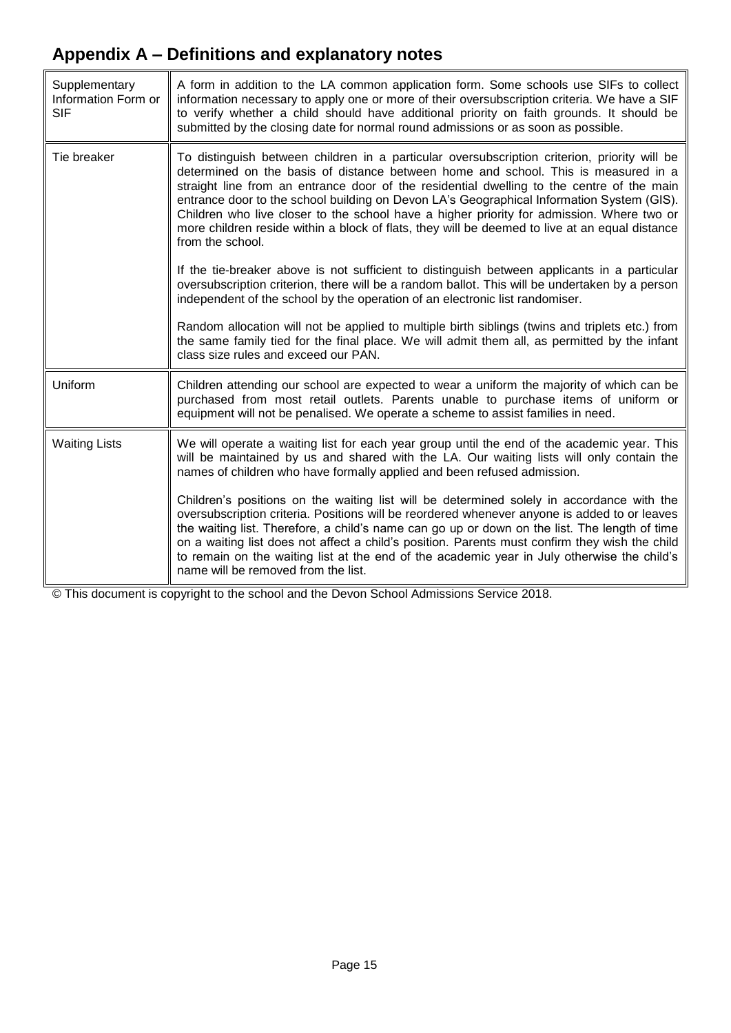<span id="page-14-1"></span><span id="page-14-0"></span>

| Supplementary<br>Information Form or<br><b>SIF</b> | A form in addition to the LA common application form. Some schools use SIFs to collect<br>information necessary to apply one or more of their oversubscription criteria. We have a SIF<br>to verify whether a child should have additional priority on faith grounds. It should be<br>submitted by the closing date for normal round admissions or as soon as possible.                                                                                                                                                                                                                         |  |
|----------------------------------------------------|-------------------------------------------------------------------------------------------------------------------------------------------------------------------------------------------------------------------------------------------------------------------------------------------------------------------------------------------------------------------------------------------------------------------------------------------------------------------------------------------------------------------------------------------------------------------------------------------------|--|
| Tie breaker                                        | To distinguish between children in a particular oversubscription criterion, priority will be<br>determined on the basis of distance between home and school. This is measured in a<br>straight line from an entrance door of the residential dwelling to the centre of the main<br>entrance door to the school building on Devon LA's Geographical Information System (GIS).<br>Children who live closer to the school have a higher priority for admission. Where two or<br>more children reside within a block of flats, they will be deemed to live at an equal distance<br>from the school. |  |
|                                                    | If the tie-breaker above is not sufficient to distinguish between applicants in a particular<br>oversubscription criterion, there will be a random ballot. This will be undertaken by a person<br>independent of the school by the operation of an electronic list randomiser.                                                                                                                                                                                                                                                                                                                  |  |
|                                                    | Random allocation will not be applied to multiple birth siblings (twins and triplets etc.) from<br>the same family tied for the final place. We will admit them all, as permitted by the infant<br>class size rules and exceed our PAN.                                                                                                                                                                                                                                                                                                                                                         |  |
| Uniform                                            | Children attending our school are expected to wear a uniform the majority of which can be<br>purchased from most retail outlets. Parents unable to purchase items of uniform or<br>equipment will not be penalised. We operate a scheme to assist families in need.                                                                                                                                                                                                                                                                                                                             |  |
| <b>Waiting Lists</b>                               | We will operate a waiting list for each year group until the end of the academic year. This<br>will be maintained by us and shared with the LA. Our waiting lists will only contain the<br>names of children who have formally applied and been refused admission.                                                                                                                                                                                                                                                                                                                              |  |
|                                                    | Children's positions on the waiting list will be determined solely in accordance with the<br>oversubscription criteria. Positions will be reordered whenever anyone is added to or leaves<br>the waiting list. Therefore, a child's name can go up or down on the list. The length of time<br>on a waiting list does not affect a child's position. Parents must confirm they wish the child<br>to remain on the waiting list at the end of the academic year in July otherwise the child's<br>name will be removed from the list.                                                              |  |

© This document is copyright to the school and the Devon School Admissions Service 2018.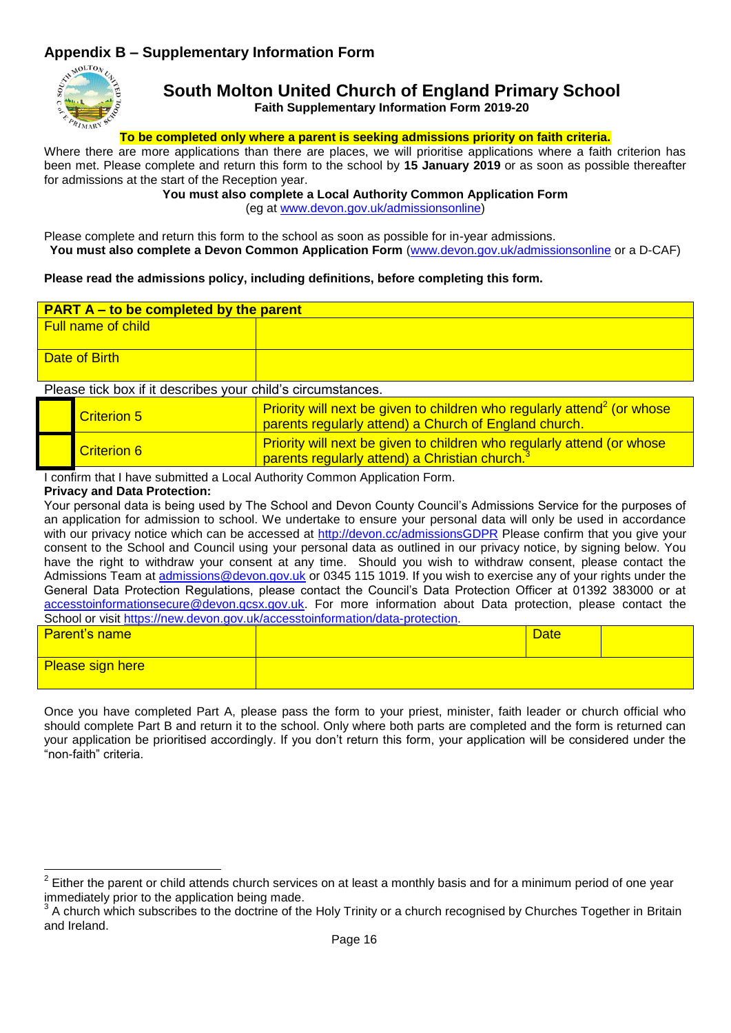# **Appendix B – Supplementary Information Form**



### **South Molton United Church of England Primary School Faith Supplementary Information Form 2019-20**

#### **To be completed only where a parent is seeking admissions priority on faith criteria.**

Where there are more applications than there are places, we will prioritise applications where a faith criterion has been met. Please complete and return this form to the school by **15 January 2019** or as soon as possible thereafter for admissions at the start of the Reception year.

#### **You must also complete a Local Authority Common Application Form**

<span id="page-15-0"></span>(eg at [www.devon.gov.uk/admissionsonline\)](http://www.devon.gov.uk/admissionsonline)

Please complete and return this form to the school as soon as possible for in-year admissions. **You must also complete a Devon Common Application Form** [\(www.devon.gov.uk/admissionsonline](http://www.devon.gov.uk/admissionsonline) or a D-CAF)

#### **Please read the admissions policy, including definitions, before completing this form.**

|                                                                             | <b>PART A – to be completed by the parent</b> |                                                                                                                                      |  |
|-----------------------------------------------------------------------------|-----------------------------------------------|--------------------------------------------------------------------------------------------------------------------------------------|--|
|                                                                             | <b>Full name of child</b>                     |                                                                                                                                      |  |
|                                                                             |                                               |                                                                                                                                      |  |
|                                                                             | Date of Birth                                 |                                                                                                                                      |  |
|                                                                             |                                               |                                                                                                                                      |  |
| Please tick box if it describes your child's circumstances.                 |                                               |                                                                                                                                      |  |
| <b>Criterion 5</b><br>parents regularly attend) a Church of England church. |                                               | Priority will next be given to children who regularly attend <sup>2</sup> (or whose                                                  |  |
| <b>Criterion 6</b>                                                          |                                               | Priority will next be given to children who regularly attend (or whose<br>parents regularly attend) a Christian church. <sup>3</sup> |  |

I confirm that I have submitted a Local Authority Common Application Form.

#### **Privacy and Data Protection:**

1

Your personal data is being used by The School and Devon County Council's Admissions Service for the purposes of an application for admission to school. We undertake to ensure your personal data will only be used in accordance with our privacy notice which can be accessed at<http://devon.cc/admissionsGDPR> Please confirm that you give your consent to the School and Council using your personal data as outlined in our privacy notice, by signing below. You have the right to withdraw your consent at any time. Should you wish to withdraw consent, please contact the Admissions Team at [admissions@devon.gov.uk](mailto:admissions@devon.gov.uk) or 0345 115 1019. If you wish to exercise any of your rights under the General Data Protection Regulations, please contact the Council's Data Protection Officer at 01392 383000 or at [accesstoinformationsecure@devon.gcsx.gov.uk.](mailto:accesstoinformationsecure@devon.gcsx.gov.uk) For more information about Data protection, please contact the School or visit [https://new.devon.gov.uk/accesstoinformation/data-protection.](https://new.devon.gov.uk/accesstoinformation/data-protection)

| <b>Parent's name</b>    | <b>Date</b> |
|-------------------------|-------------|
| <b>Please sign here</b> |             |

Once you have completed Part A, please pass the form to your priest, minister, faith leader or church official who should complete Part B and return it to the school. Only where both parts are completed and the form is returned can your application be prioritised accordingly. If you don't return this form, your application will be considered under the "non-faith" criteria.

<sup>2</sup> Either the parent or child attends church services on at least a monthly basis and for a minimum period of one year immediately prior to the application being made.

<sup>&</sup>lt;sup>3</sup> A church which subscribes to the doctrine of the Holy Trinity or a church recognised by Churches Together in Britain and Ireland.